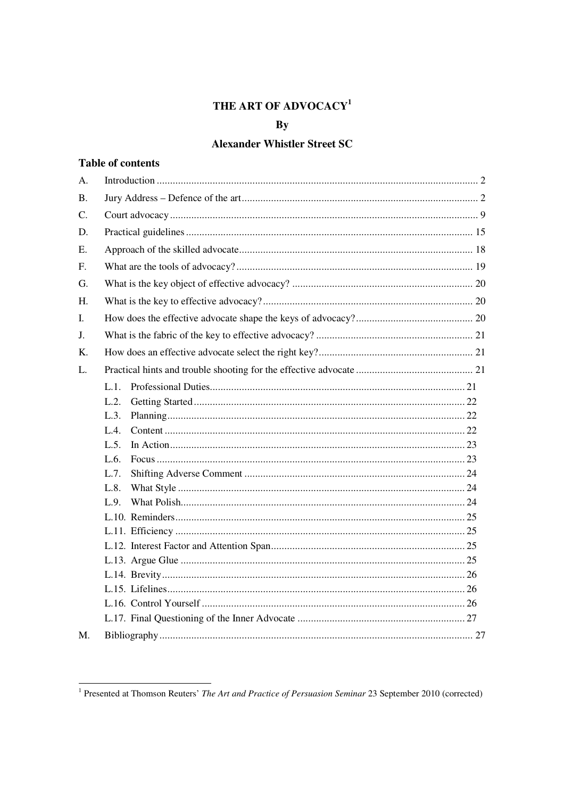# THE ART OF ADVOCACY<sup>1</sup>

# $\mathbf{B}\mathbf{y}$

# **Alexander Whistler Street SC**

# **Table of contents**

| A.        |         |
|-----------|---------|
| <b>B.</b> |         |
| C.        |         |
| D.        |         |
| Ε.        |         |
| F.        |         |
| G.        |         |
| H.        |         |
| L.        |         |
| J.        |         |
| K.        |         |
| L.        |         |
|           | $L.1$ . |
|           | L.2.    |
|           |         |
|           | L.3.    |
|           | L.4.    |
|           | L.5.    |
|           | L.6.    |
|           | L.7.    |
|           | L.8.    |
|           | L.9.    |
|           |         |
|           |         |
|           |         |
|           |         |
|           |         |
|           |         |
|           |         |
|           |         |
| M.        |         |

<sup>&</sup>lt;sup>1</sup> Presented at Thomson Reuters' *The Art and Practice of Persuasion Seminar* 23 September 2010 (corrected)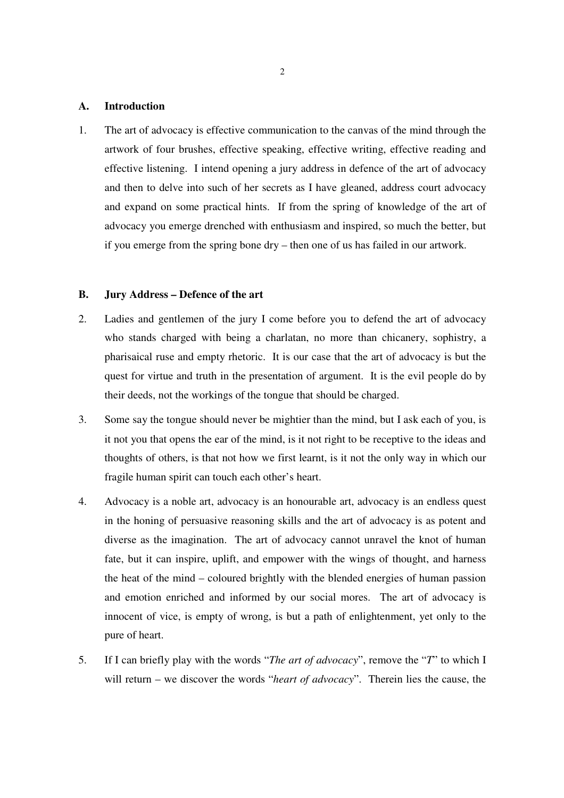## **A. Introduction**

1. The art of advocacy is effective communication to the canvas of the mind through the artwork of four brushes, effective speaking, effective writing, effective reading and effective listening. I intend opening a jury address in defence of the art of advocacy and then to delve into such of her secrets as I have gleaned, address court advocacy and expand on some practical hints. If from the spring of knowledge of the art of advocacy you emerge drenched with enthusiasm and inspired, so much the better, but if you emerge from the spring bone dry – then one of us has failed in our artwork.

### **B. Jury Address – Defence of the art**

- 2. Ladies and gentlemen of the jury I come before you to defend the art of advocacy who stands charged with being a charlatan, no more than chicanery, sophistry, a pharisaical ruse and empty rhetoric. It is our case that the art of advocacy is but the quest for virtue and truth in the presentation of argument. It is the evil people do by their deeds, not the workings of the tongue that should be charged.
- 3. Some say the tongue should never be mightier than the mind, but I ask each of you, is it not you that opens the ear of the mind, is it not right to be receptive to the ideas and thoughts of others, is that not how we first learnt, is it not the only way in which our fragile human spirit can touch each other's heart.
- 4. Advocacy is a noble art, advocacy is an honourable art, advocacy is an endless quest in the honing of persuasive reasoning skills and the art of advocacy is as potent and diverse as the imagination. The art of advocacy cannot unravel the knot of human fate, but it can inspire, uplift, and empower with the wings of thought, and harness the heat of the mind – coloured brightly with the blended energies of human passion and emotion enriched and informed by our social mores. The art of advocacy is innocent of vice, is empty of wrong, is but a path of enlightenment, yet only to the pure of heart.
- 5. If I can briefly play with the words "*The art of advocacy*", remove the "*T*" to which I will return – we discover the words "*heart of advocacy*". Therein lies the cause, the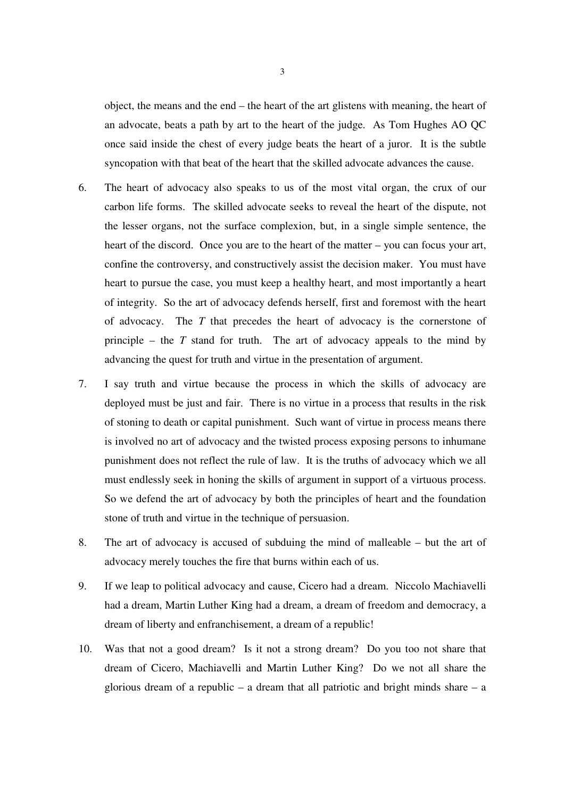object, the means and the end – the heart of the art glistens with meaning, the heart of an advocate, beats a path by art to the heart of the judge. As Tom Hughes AO QC once said inside the chest of every judge beats the heart of a juror. It is the subtle syncopation with that beat of the heart that the skilled advocate advances the cause.

- 6. The heart of advocacy also speaks to us of the most vital organ, the crux of our carbon life forms. The skilled advocate seeks to reveal the heart of the dispute, not the lesser organs, not the surface complexion, but, in a single simple sentence, the heart of the discord. Once you are to the heart of the matter – you can focus your art, confine the controversy, and constructively assist the decision maker. You must have heart to pursue the case, you must keep a healthy heart, and most importantly a heart of integrity. So the art of advocacy defends herself, first and foremost with the heart of advocacy. The *T* that precedes the heart of advocacy is the cornerstone of principle – the *T* stand for truth. The art of advocacy appeals to the mind by advancing the quest for truth and virtue in the presentation of argument.
- 7. I say truth and virtue because the process in which the skills of advocacy are deployed must be just and fair. There is no virtue in a process that results in the risk of stoning to death or capital punishment. Such want of virtue in process means there is involved no art of advocacy and the twisted process exposing persons to inhumane punishment does not reflect the rule of law. It is the truths of advocacy which we all must endlessly seek in honing the skills of argument in support of a virtuous process. So we defend the art of advocacy by both the principles of heart and the foundation stone of truth and virtue in the technique of persuasion.
- 8. The art of advocacy is accused of subduing the mind of malleable but the art of advocacy merely touches the fire that burns within each of us.
- 9. If we leap to political advocacy and cause, Cicero had a dream. Niccolo Machiavelli had a dream, Martin Luther King had a dream, a dream of freedom and democracy, a dream of liberty and enfranchisement, a dream of a republic!
- 10. Was that not a good dream? Is it not a strong dream? Do you too not share that dream of Cicero, Machiavelli and Martin Luther King? Do we not all share the glorious dream of a republic – a dream that all patriotic and bright minds share – a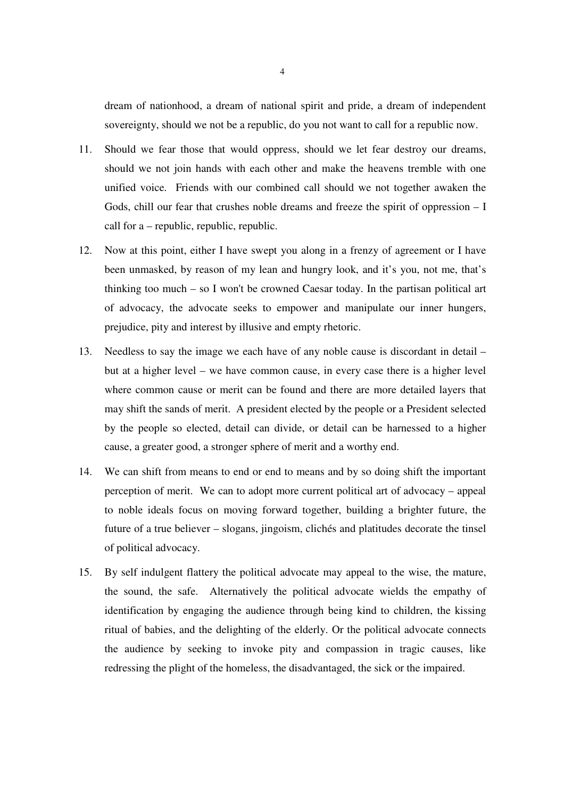dream of nationhood, a dream of national spirit and pride, a dream of independent sovereignty, should we not be a republic, do you not want to call for a republic now.

- 11. Should we fear those that would oppress, should we let fear destroy our dreams, should we not join hands with each other and make the heavens tremble with one unified voice. Friends with our combined call should we not together awaken the Gods, chill our fear that crushes noble dreams and freeze the spirit of oppression  $-1$ call for a – republic, republic, republic.
- 12. Now at this point, either I have swept you along in a frenzy of agreement or I have been unmasked, by reason of my lean and hungry look, and it's you, not me, that's thinking too much – so I won't be crowned Caesar today. In the partisan political art of advocacy, the advocate seeks to empower and manipulate our inner hungers, prejudice, pity and interest by illusive and empty rhetoric.
- 13. Needless to say the image we each have of any noble cause is discordant in detail but at a higher level – we have common cause, in every case there is a higher level where common cause or merit can be found and there are more detailed layers that may shift the sands of merit. A president elected by the people or a President selected by the people so elected, detail can divide, or detail can be harnessed to a higher cause, a greater good, a stronger sphere of merit and a worthy end.
- 14. We can shift from means to end or end to means and by so doing shift the important perception of merit. We can to adopt more current political art of advocacy – appeal to noble ideals focus on moving forward together, building a brighter future, the future of a true believer – slogans, jingoism, clichés and platitudes decorate the tinsel of political advocacy.
- 15. By self indulgent flattery the political advocate may appeal to the wise, the mature, the sound, the safe. Alternatively the political advocate wields the empathy of identification by engaging the audience through being kind to children, the kissing ritual of babies, and the delighting of the elderly. Or the political advocate connects the audience by seeking to invoke pity and compassion in tragic causes, like redressing the plight of the homeless, the disadvantaged, the sick or the impaired.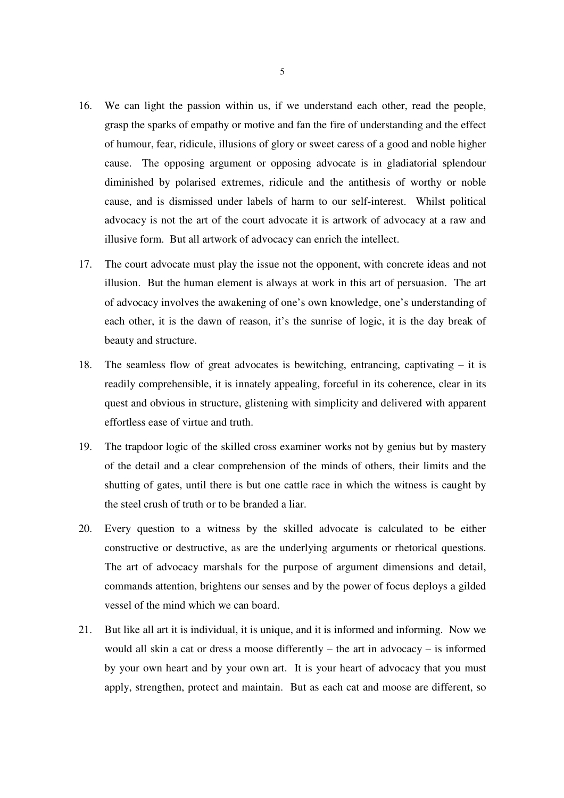- 16. We can light the passion within us, if we understand each other, read the people, grasp the sparks of empathy or motive and fan the fire of understanding and the effect of humour, fear, ridicule, illusions of glory or sweet caress of a good and noble higher cause. The opposing argument or opposing advocate is in gladiatorial splendour diminished by polarised extremes, ridicule and the antithesis of worthy or noble cause, and is dismissed under labels of harm to our self-interest. Whilst political advocacy is not the art of the court advocate it is artwork of advocacy at a raw and illusive form. But all artwork of advocacy can enrich the intellect.
- 17. The court advocate must play the issue not the opponent, with concrete ideas and not illusion. But the human element is always at work in this art of persuasion. The art of advocacy involves the awakening of one's own knowledge, one's understanding of each other, it is the dawn of reason, it's the sunrise of logic, it is the day break of beauty and structure.
- 18. The seamless flow of great advocates is bewitching, entrancing, captivating it is readily comprehensible, it is innately appealing, forceful in its coherence, clear in its quest and obvious in structure, glistening with simplicity and delivered with apparent effortless ease of virtue and truth.
- 19. The trapdoor logic of the skilled cross examiner works not by genius but by mastery of the detail and a clear comprehension of the minds of others, their limits and the shutting of gates, until there is but one cattle race in which the witness is caught by the steel crush of truth or to be branded a liar.
- 20. Every question to a witness by the skilled advocate is calculated to be either constructive or destructive, as are the underlying arguments or rhetorical questions. The art of advocacy marshals for the purpose of argument dimensions and detail, commands attention, brightens our senses and by the power of focus deploys a gilded vessel of the mind which we can board.
- 21. But like all art it is individual, it is unique, and it is informed and informing. Now we would all skin a cat or dress a moose differently – the art in advocacy – is informed by your own heart and by your own art. It is your heart of advocacy that you must apply, strengthen, protect and maintain. But as each cat and moose are different, so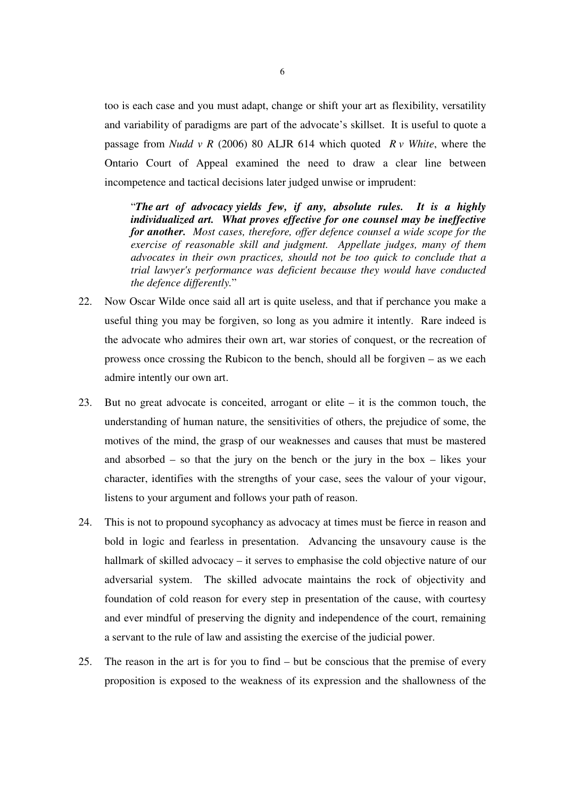too is each case and you must adapt, change or shift your art as flexibility, versatility and variability of paradigms are part of the advocate's skillset. It is useful to quote a passage from *Nudd v R* (2006) 80 ALJR 614 which quoted *R v White*, where the Ontario Court of Appeal examined the need to draw a clear line between incompetence and tactical decisions later judged unwise or imprudent:

"*The art of advocacy yields few, if any, absolute rules. It is a highly individualized art. What proves effective for one counsel may be ineffective for another. Most cases, therefore, offer defence counsel a wide scope for the exercise of reasonable skill and judgment. Appellate judges, many of them advocates in their own practices, should not be too quick to conclude that a trial lawyer's performance was deficient because they would have conducted the defence differently.*"

- 22. Now Oscar Wilde once said all art is quite useless, and that if perchance you make a useful thing you may be forgiven, so long as you admire it intently. Rare indeed is the advocate who admires their own art, war stories of conquest, or the recreation of prowess once crossing the Rubicon to the bench, should all be forgiven – as we each admire intently our own art.
- 23. But no great advocate is conceited, arrogant or elite it is the common touch, the understanding of human nature, the sensitivities of others, the prejudice of some, the motives of the mind, the grasp of our weaknesses and causes that must be mastered and absorbed – so that the jury on the bench or the jury in the box – likes your character, identifies with the strengths of your case, sees the valour of your vigour, listens to your argument and follows your path of reason.
- 24. This is not to propound sycophancy as advocacy at times must be fierce in reason and bold in logic and fearless in presentation. Advancing the unsavoury cause is the hallmark of skilled advocacy – it serves to emphasise the cold objective nature of our adversarial system. The skilled advocate maintains the rock of objectivity and foundation of cold reason for every step in presentation of the cause, with courtesy and ever mindful of preserving the dignity and independence of the court, remaining a servant to the rule of law and assisting the exercise of the judicial power.
- 25. The reason in the art is for you to find but be conscious that the premise of every proposition is exposed to the weakness of its expression and the shallowness of the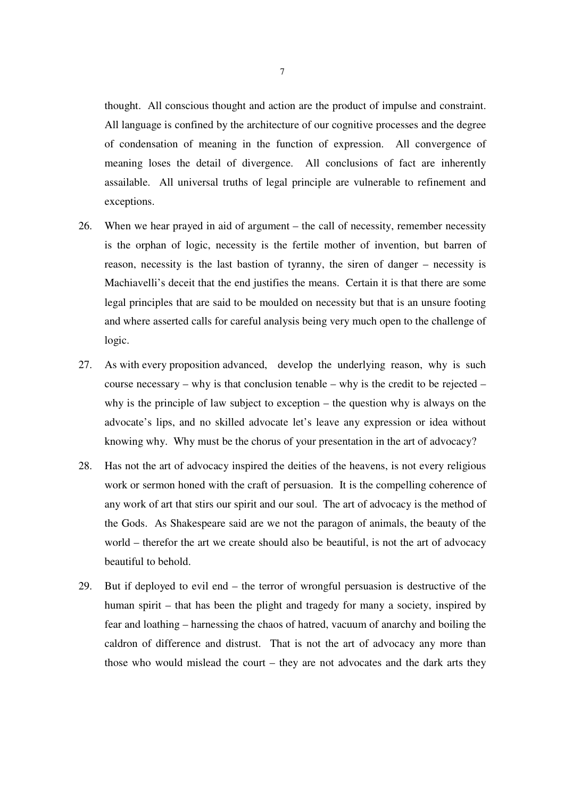thought. All conscious thought and action are the product of impulse and constraint. All language is confined by the architecture of our cognitive processes and the degree of condensation of meaning in the function of expression. All convergence of meaning loses the detail of divergence. All conclusions of fact are inherently assailable. All universal truths of legal principle are vulnerable to refinement and exceptions.

- 26. When we hear prayed in aid of argument the call of necessity, remember necessity is the orphan of logic, necessity is the fertile mother of invention, but barren of reason, necessity is the last bastion of tyranny, the siren of danger – necessity is Machiavelli's deceit that the end justifies the means. Certain it is that there are some legal principles that are said to be moulded on necessity but that is an unsure footing and where asserted calls for careful analysis being very much open to the challenge of logic.
- 27. As with every proposition advanced, develop the underlying reason, why is such course necessary – why is that conclusion tenable – why is the credit to be rejected – why is the principle of law subject to exception – the question why is always on the advocate's lips, and no skilled advocate let's leave any expression or idea without knowing why. Why must be the chorus of your presentation in the art of advocacy?
- 28. Has not the art of advocacy inspired the deities of the heavens, is not every religious work or sermon honed with the craft of persuasion. It is the compelling coherence of any work of art that stirs our spirit and our soul. The art of advocacy is the method of the Gods. As Shakespeare said are we not the paragon of animals, the beauty of the world – therefor the art we create should also be beautiful, is not the art of advocacy beautiful to behold.
- 29. But if deployed to evil end the terror of wrongful persuasion is destructive of the human spirit – that has been the plight and tragedy for many a society, inspired by fear and loathing – harnessing the chaos of hatred, vacuum of anarchy and boiling the caldron of difference and distrust. That is not the art of advocacy any more than those who would mislead the court – they are not advocates and the dark arts they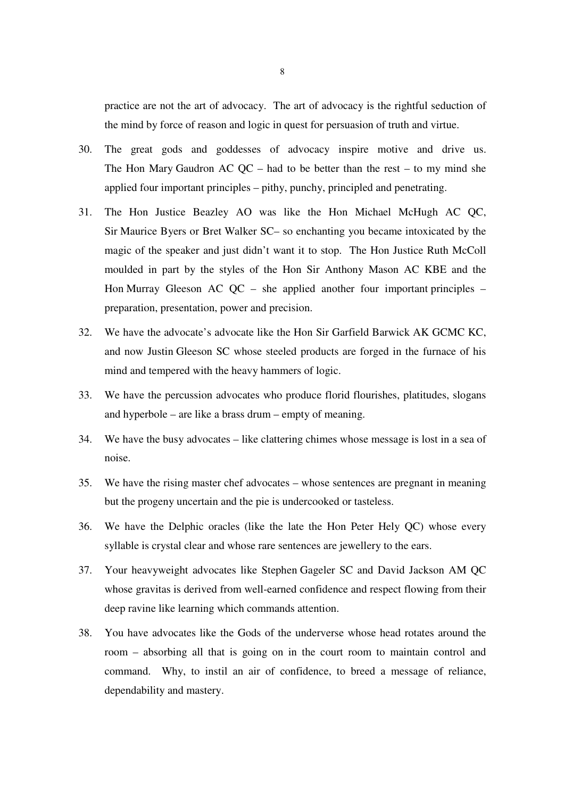practice are not the art of advocacy. The art of advocacy is the rightful seduction of the mind by force of reason and logic in quest for persuasion of truth and virtue.

- 30. The great gods and goddesses of advocacy inspire motive and drive us. The Hon Mary Gaudron AC  $QC$  – had to be better than the rest – to my mind she applied four important principles – pithy, punchy, principled and penetrating.
- 31. The Hon Justice Beazley AO was like the Hon Michael McHugh AC QC, Sir Maurice Byers or Bret Walker SC– so enchanting you became intoxicated by the magic of the speaker and just didn't want it to stop. The Hon Justice Ruth McColl moulded in part by the styles of the Hon Sir Anthony Mason AC KBE and the Hon Murray Gleeson AC QC – she applied another four important principles – preparation, presentation, power and precision.
- 32. We have the advocate's advocate like the Hon Sir Garfield Barwick AK GCMC KC, and now Justin Gleeson SC whose steeled products are forged in the furnace of his mind and tempered with the heavy hammers of logic.
- 33. We have the percussion advocates who produce florid flourishes, platitudes, slogans and hyperbole – are like a brass drum – empty of meaning.
- 34. We have the busy advocates like clattering chimes whose message is lost in a sea of noise.
- 35. We have the rising master chef advocates whose sentences are pregnant in meaning but the progeny uncertain and the pie is undercooked or tasteless.
- 36. We have the Delphic oracles (like the late the Hon Peter Hely QC) whose every syllable is crystal clear and whose rare sentences are jewellery to the ears.
- 37. Your heavyweight advocates like Stephen Gageler SC and David Jackson AM QC whose gravitas is derived from well-earned confidence and respect flowing from their deep ravine like learning which commands attention.
- 38. You have advocates like the Gods of the underverse whose head rotates around the room – absorbing all that is going on in the court room to maintain control and command. Why, to instil an air of confidence, to breed a message of reliance, dependability and mastery.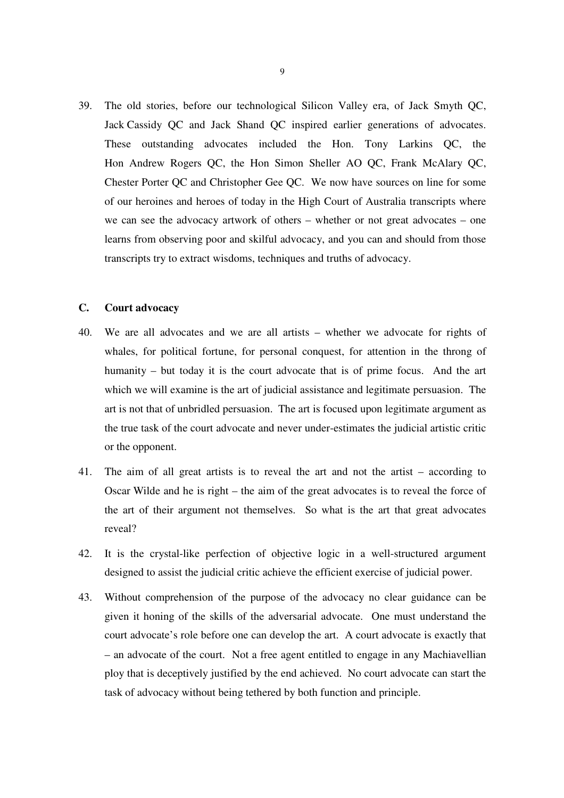39. The old stories, before our technological Silicon Valley era, of Jack Smyth QC, Jack Cassidy QC and Jack Shand QC inspired earlier generations of advocates. These outstanding advocates included the Hon. Tony Larkins QC, the Hon Andrew Rogers QC, the Hon Simon Sheller AO QC, Frank McAlary QC, Chester Porter QC and Christopher Gee QC. We now have sources on line for some of our heroines and heroes of today in the High Court of Australia transcripts where we can see the advocacy artwork of others – whether or not great advocates – one learns from observing poor and skilful advocacy, and you can and should from those transcripts try to extract wisdoms, techniques and truths of advocacy.

# **C. Court advocacy**

- 40. We are all advocates and we are all artists whether we advocate for rights of whales, for political fortune, for personal conquest, for attention in the throng of humanity – but today it is the court advocate that is of prime focus. And the art which we will examine is the art of judicial assistance and legitimate persuasion. The art is not that of unbridled persuasion. The art is focused upon legitimate argument as the true task of the court advocate and never under-estimates the judicial artistic critic or the opponent.
- 41. The aim of all great artists is to reveal the art and not the artist according to Oscar Wilde and he is right – the aim of the great advocates is to reveal the force of the art of their argument not themselves. So what is the art that great advocates reveal?
- 42. It is the crystal-like perfection of objective logic in a well-structured argument designed to assist the judicial critic achieve the efficient exercise of judicial power.
- 43. Without comprehension of the purpose of the advocacy no clear guidance can be given it honing of the skills of the adversarial advocate. One must understand the court advocate's role before one can develop the art. A court advocate is exactly that – an advocate of the court. Not a free agent entitled to engage in any Machiavellian ploy that is deceptively justified by the end achieved. No court advocate can start the task of advocacy without being tethered by both function and principle.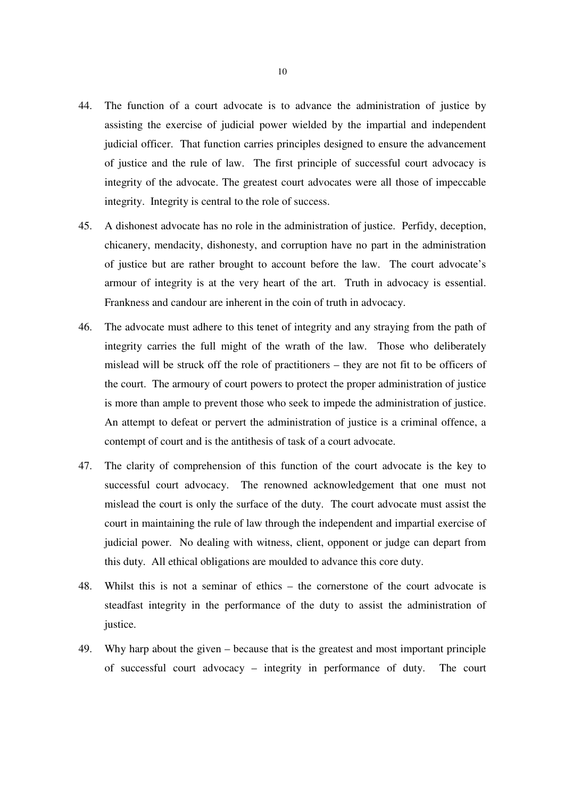- 44. The function of a court advocate is to advance the administration of justice by assisting the exercise of judicial power wielded by the impartial and independent judicial officer. That function carries principles designed to ensure the advancement of justice and the rule of law. The first principle of successful court advocacy is integrity of the advocate. The greatest court advocates were all those of impeccable integrity. Integrity is central to the role of success.
- 45. A dishonest advocate has no role in the administration of justice. Perfidy, deception, chicanery, mendacity, dishonesty, and corruption have no part in the administration of justice but are rather brought to account before the law. The court advocate's armour of integrity is at the very heart of the art. Truth in advocacy is essential. Frankness and candour are inherent in the coin of truth in advocacy.
- 46. The advocate must adhere to this tenet of integrity and any straying from the path of integrity carries the full might of the wrath of the law. Those who deliberately mislead will be struck off the role of practitioners – they are not fit to be officers of the court. The armoury of court powers to protect the proper administration of justice is more than ample to prevent those who seek to impede the administration of justice. An attempt to defeat or pervert the administration of justice is a criminal offence, a contempt of court and is the antithesis of task of a court advocate.
- 47. The clarity of comprehension of this function of the court advocate is the key to successful court advocacy. The renowned acknowledgement that one must not mislead the court is only the surface of the duty. The court advocate must assist the court in maintaining the rule of law through the independent and impartial exercise of judicial power. No dealing with witness, client, opponent or judge can depart from this duty. All ethical obligations are moulded to advance this core duty.
- 48. Whilst this is not a seminar of ethics the cornerstone of the court advocate is steadfast integrity in the performance of the duty to assist the administration of justice.
- 49. Why harp about the given because that is the greatest and most important principle of successful court advocacy – integrity in performance of duty. The court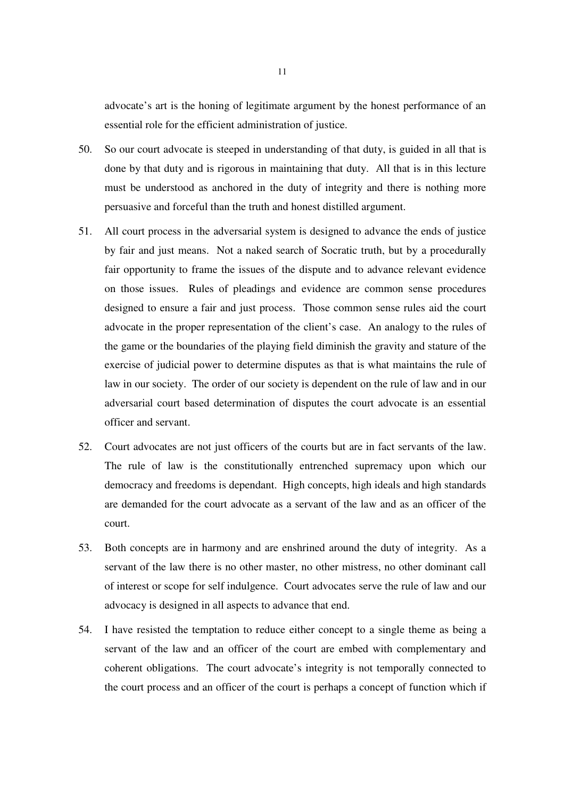advocate's art is the honing of legitimate argument by the honest performance of an essential role for the efficient administration of justice.

- 50. So our court advocate is steeped in understanding of that duty, is guided in all that is done by that duty and is rigorous in maintaining that duty. All that is in this lecture must be understood as anchored in the duty of integrity and there is nothing more persuasive and forceful than the truth and honest distilled argument.
- 51. All court process in the adversarial system is designed to advance the ends of justice by fair and just means. Not a naked search of Socratic truth, but by a procedurally fair opportunity to frame the issues of the dispute and to advance relevant evidence on those issues. Rules of pleadings and evidence are common sense procedures designed to ensure a fair and just process. Those common sense rules aid the court advocate in the proper representation of the client's case. An analogy to the rules of the game or the boundaries of the playing field diminish the gravity and stature of the exercise of judicial power to determine disputes as that is what maintains the rule of law in our society. The order of our society is dependent on the rule of law and in our adversarial court based determination of disputes the court advocate is an essential officer and servant.
- 52. Court advocates are not just officers of the courts but are in fact servants of the law. The rule of law is the constitutionally entrenched supremacy upon which our democracy and freedoms is dependant. High concepts, high ideals and high standards are demanded for the court advocate as a servant of the law and as an officer of the court.
- 53. Both concepts are in harmony and are enshrined around the duty of integrity. As a servant of the law there is no other master, no other mistress, no other dominant call of interest or scope for self indulgence. Court advocates serve the rule of law and our advocacy is designed in all aspects to advance that end.
- 54. I have resisted the temptation to reduce either concept to a single theme as being a servant of the law and an officer of the court are embed with complementary and coherent obligations. The court advocate's integrity is not temporally connected to the court process and an officer of the court is perhaps a concept of function which if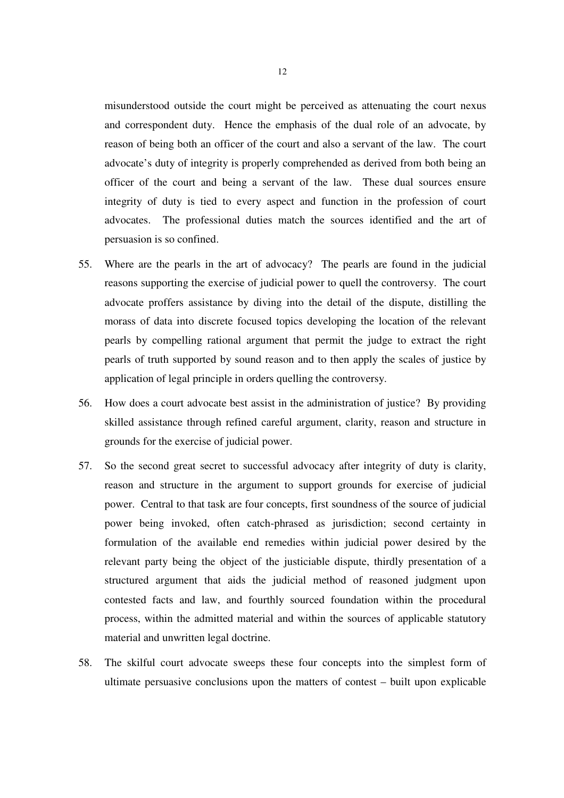misunderstood outside the court might be perceived as attenuating the court nexus and correspondent duty. Hence the emphasis of the dual role of an advocate, by reason of being both an officer of the court and also a servant of the law. The court advocate's duty of integrity is properly comprehended as derived from both being an officer of the court and being a servant of the law. These dual sources ensure integrity of duty is tied to every aspect and function in the profession of court advocates. The professional duties match the sources identified and the art of persuasion is so confined.

- 55. Where are the pearls in the art of advocacy? The pearls are found in the judicial reasons supporting the exercise of judicial power to quell the controversy. The court advocate proffers assistance by diving into the detail of the dispute, distilling the morass of data into discrete focused topics developing the location of the relevant pearls by compelling rational argument that permit the judge to extract the right pearls of truth supported by sound reason and to then apply the scales of justice by application of legal principle in orders quelling the controversy.
- 56. How does a court advocate best assist in the administration of justice? By providing skilled assistance through refined careful argument, clarity, reason and structure in grounds for the exercise of judicial power.
- 57. So the second great secret to successful advocacy after integrity of duty is clarity, reason and structure in the argument to support grounds for exercise of judicial power. Central to that task are four concepts, first soundness of the source of judicial power being invoked, often catch-phrased as jurisdiction; second certainty in formulation of the available end remedies within judicial power desired by the relevant party being the object of the justiciable dispute, thirdly presentation of a structured argument that aids the judicial method of reasoned judgment upon contested facts and law, and fourthly sourced foundation within the procedural process, within the admitted material and within the sources of applicable statutory material and unwritten legal doctrine.
- 58. The skilful court advocate sweeps these four concepts into the simplest form of ultimate persuasive conclusions upon the matters of contest – built upon explicable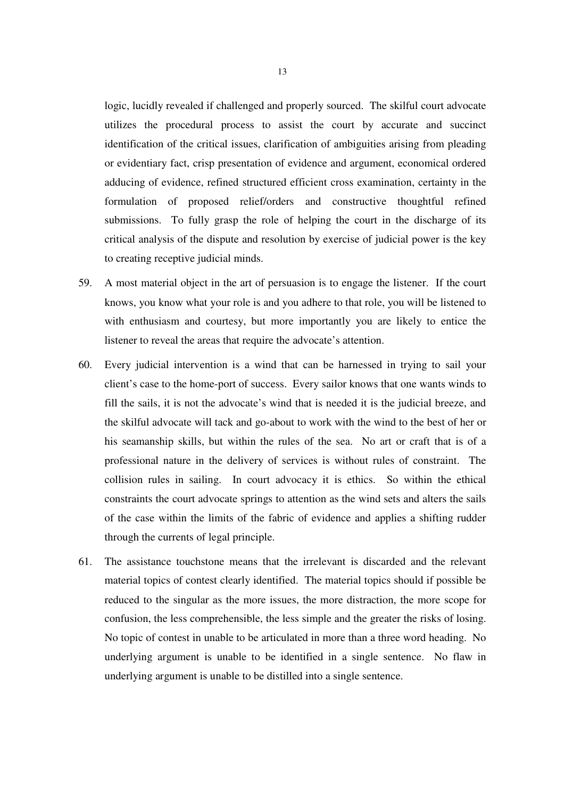logic, lucidly revealed if challenged and properly sourced. The skilful court advocate utilizes the procedural process to assist the court by accurate and succinct identification of the critical issues, clarification of ambiguities arising from pleading or evidentiary fact, crisp presentation of evidence and argument, economical ordered adducing of evidence, refined structured efficient cross examination, certainty in the formulation of proposed relief/orders and constructive thoughtful refined submissions. To fully grasp the role of helping the court in the discharge of its critical analysis of the dispute and resolution by exercise of judicial power is the key to creating receptive judicial minds.

- 59. A most material object in the art of persuasion is to engage the listener. If the court knows, you know what your role is and you adhere to that role, you will be listened to with enthusiasm and courtesy, but more importantly you are likely to entice the listener to reveal the areas that require the advocate's attention.
- 60. Every judicial intervention is a wind that can be harnessed in trying to sail your client's case to the home-port of success. Every sailor knows that one wants winds to fill the sails, it is not the advocate's wind that is needed it is the judicial breeze, and the skilful advocate will tack and go-about to work with the wind to the best of her or his seamanship skills, but within the rules of the sea. No art or craft that is of a professional nature in the delivery of services is without rules of constraint. The collision rules in sailing. In court advocacy it is ethics. So within the ethical constraints the court advocate springs to attention as the wind sets and alters the sails of the case within the limits of the fabric of evidence and applies a shifting rudder through the currents of legal principle.
- 61. The assistance touchstone means that the irrelevant is discarded and the relevant material topics of contest clearly identified. The material topics should if possible be reduced to the singular as the more issues, the more distraction, the more scope for confusion, the less comprehensible, the less simple and the greater the risks of losing. No topic of contest in unable to be articulated in more than a three word heading. No underlying argument is unable to be identified in a single sentence. No flaw in underlying argument is unable to be distilled into a single sentence.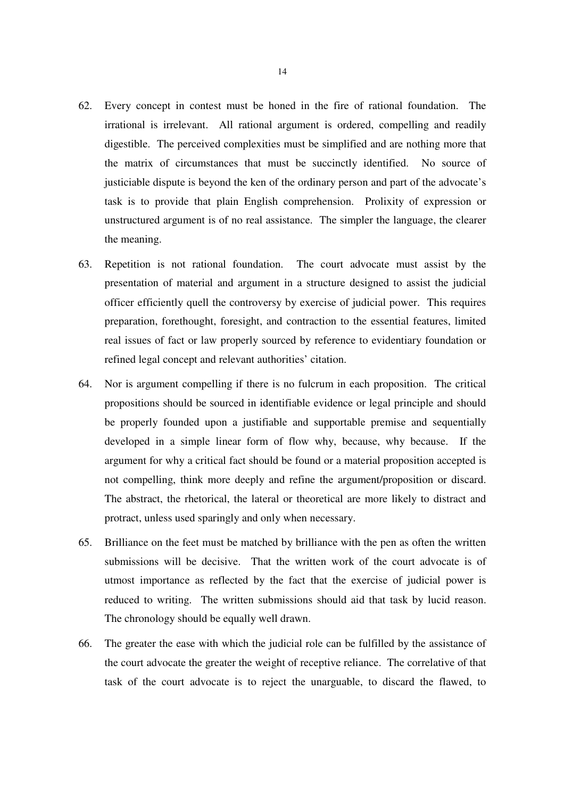- 62. Every concept in contest must be honed in the fire of rational foundation. The irrational is irrelevant. All rational argument is ordered, compelling and readily digestible. The perceived complexities must be simplified and are nothing more that the matrix of circumstances that must be succinctly identified. No source of justiciable dispute is beyond the ken of the ordinary person and part of the advocate's task is to provide that plain English comprehension. Prolixity of expression or unstructured argument is of no real assistance. The simpler the language, the clearer the meaning.
- 63. Repetition is not rational foundation. The court advocate must assist by the presentation of material and argument in a structure designed to assist the judicial officer efficiently quell the controversy by exercise of judicial power. This requires preparation, forethought, foresight, and contraction to the essential features, limited real issues of fact or law properly sourced by reference to evidentiary foundation or refined legal concept and relevant authorities' citation.
- 64. Nor is argument compelling if there is no fulcrum in each proposition. The critical propositions should be sourced in identifiable evidence or legal principle and should be properly founded upon a justifiable and supportable premise and sequentially developed in a simple linear form of flow why, because, why because. If the argument for why a critical fact should be found or a material proposition accepted is not compelling, think more deeply and refine the argument/proposition or discard. The abstract, the rhetorical, the lateral or theoretical are more likely to distract and protract, unless used sparingly and only when necessary.
- 65. Brilliance on the feet must be matched by brilliance with the pen as often the written submissions will be decisive. That the written work of the court advocate is of utmost importance as reflected by the fact that the exercise of judicial power is reduced to writing. The written submissions should aid that task by lucid reason. The chronology should be equally well drawn.
- 66. The greater the ease with which the judicial role can be fulfilled by the assistance of the court advocate the greater the weight of receptive reliance. The correlative of that task of the court advocate is to reject the unarguable, to discard the flawed, to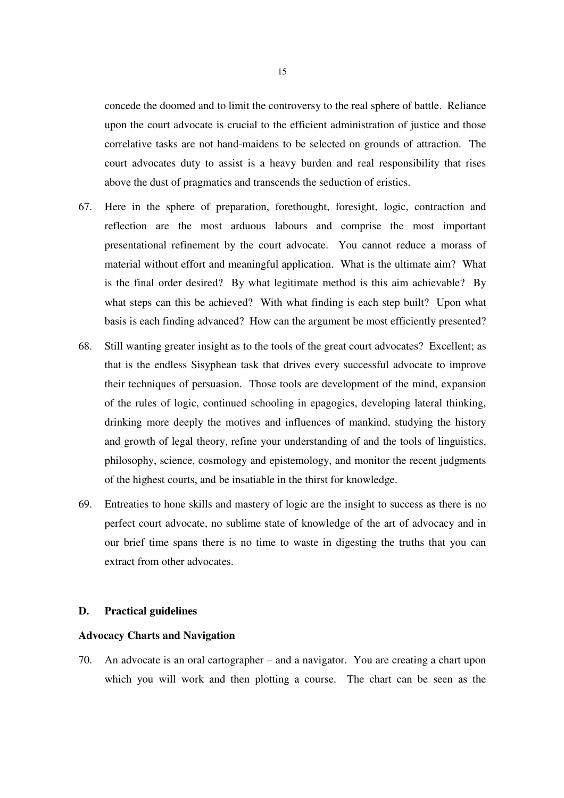concede the doomed and to limit the controversy to the real sphere of battle. Reliance upon the court advocate is crucial to the efficient administration of justice and those correlative tasks are not hand-maidens to be selected on grounds of attraction. The court advocates duty to assist is a heavy burden and real responsibility that rises above the dust of pragmatics and transcends the seduction of eristics.

- 67. Here in the sphere of preparation, forethought, foresight, logic, contraction and reflection are the most arduous labours and comprise the most important presentational refinement by the court advocate. You cannot reduce a morass of material without effort and meaningful application. What is the ultimate aim? What is the final order desired? By what legitimate method is this aim achievable? By what steps can this be achieved? With what finding is each step built? Upon what basis is each finding advanced? How can the argument be most efficiently presented?
- 68. Still wanting greater insight as to the tools of the great court advocates? Excellent; as that is the endless Sisyphean task that drives every successful advocate to improve their techniques of persuasion. Those tools are development of the mind, expansion of the rules of logic, continued schooling in epagogics, developing lateral thinking, drinking more deeply the motives and influences of mankind, studying the history and growth of legal theory, refine your understanding of and the tools of linguistics, philosophy, science, cosmology and epistemology, and monitor the recent judgments of the highest courts, and be insatiable in the thirst for knowledge.
- 69. Entreaties to hone skills and mastery of logic are the insight to success as there is no perfect court advocate, no sublime state of knowledge of the art of advocacy and in our brief time spans there is no time to waste in digesting the truths that you can extract from other advocates.

### **D. Practical guidelines**

#### **Advocacy Charts and Navigation**

70. An advocate is an oral cartographer – and a navigator. You are creating a chart upon which you will work and then plotting a course. The chart can be seen as the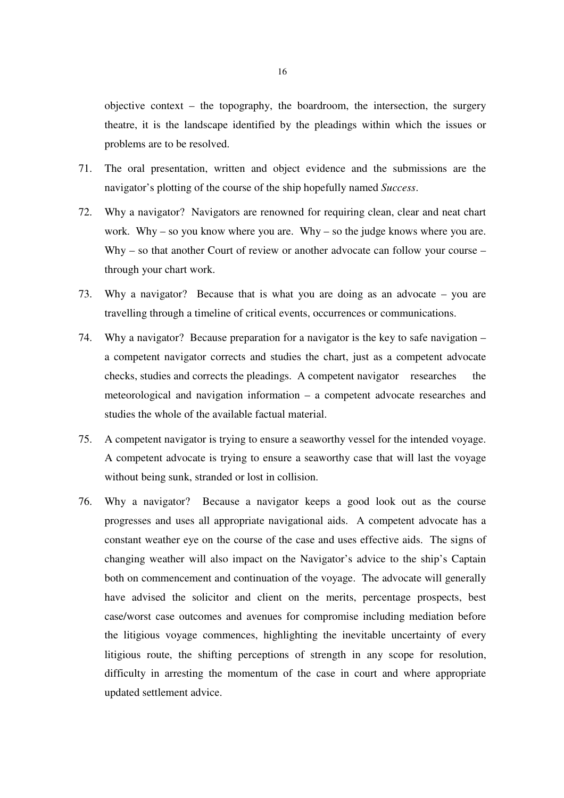objective context – the topography, the boardroom, the intersection, the surgery theatre, it is the landscape identified by the pleadings within which the issues or problems are to be resolved.

- 71. The oral presentation, written and object evidence and the submissions are the navigator's plotting of the course of the ship hopefully named *Success*.
- 72. Why a navigator? Navigators are renowned for requiring clean, clear and neat chart work. Why – so you know where you are. Why – so the judge knows where you are. Why – so that another Court of review or another advocate can follow your course – through your chart work.
- 73. Why a navigator? Because that is what you are doing as an advocate you are travelling through a timeline of critical events, occurrences or communications.
- 74. Why a navigator? Because preparation for a navigator is the key to safe navigation a competent navigator corrects and studies the chart, just as a competent advocate checks, studies and corrects the pleadings. A competent navigator researches the meteorological and navigation information – a competent advocate researches and studies the whole of the available factual material.
- 75. A competent navigator is trying to ensure a seaworthy vessel for the intended voyage. A competent advocate is trying to ensure a seaworthy case that will last the voyage without being sunk, stranded or lost in collision.
- 76. Why a navigator? Because a navigator keeps a good look out as the course progresses and uses all appropriate navigational aids. A competent advocate has a constant weather eye on the course of the case and uses effective aids. The signs of changing weather will also impact on the Navigator's advice to the ship's Captain both on commencement and continuation of the voyage. The advocate will generally have advised the solicitor and client on the merits, percentage prospects, best case/worst case outcomes and avenues for compromise including mediation before the litigious voyage commences, highlighting the inevitable uncertainty of every litigious route, the shifting perceptions of strength in any scope for resolution, difficulty in arresting the momentum of the case in court and where appropriate updated settlement advice.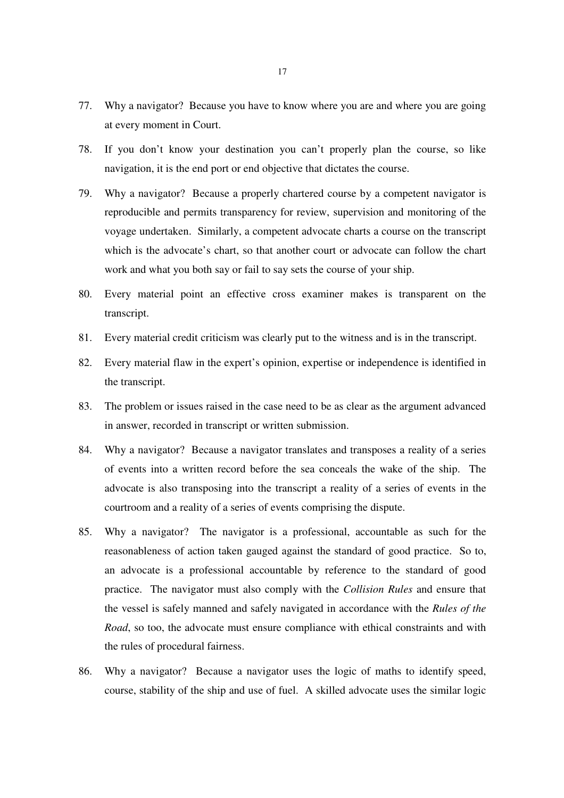- 77. Why a navigator? Because you have to know where you are and where you are going at every moment in Court.
- 78. If you don't know your destination you can't properly plan the course, so like navigation, it is the end port or end objective that dictates the course.
- 79. Why a navigator? Because a properly chartered course by a competent navigator is reproducible and permits transparency for review, supervision and monitoring of the voyage undertaken. Similarly, a competent advocate charts a course on the transcript which is the advocate's chart, so that another court or advocate can follow the chart work and what you both say or fail to say sets the course of your ship.
- 80. Every material point an effective cross examiner makes is transparent on the transcript.
- 81. Every material credit criticism was clearly put to the witness and is in the transcript.
- 82. Every material flaw in the expert's opinion, expertise or independence is identified in the transcript.
- 83. The problem or issues raised in the case need to be as clear as the argument advanced in answer, recorded in transcript or written submission.
- 84. Why a navigator? Because a navigator translates and transposes a reality of a series of events into a written record before the sea conceals the wake of the ship. The advocate is also transposing into the transcript a reality of a series of events in the courtroom and a reality of a series of events comprising the dispute.
- 85. Why a navigator? The navigator is a professional, accountable as such for the reasonableness of action taken gauged against the standard of good practice. So to, an advocate is a professional accountable by reference to the standard of good practice. The navigator must also comply with the *Collision Rules* and ensure that the vessel is safely manned and safely navigated in accordance with the *Rules of the Road*, so too, the advocate must ensure compliance with ethical constraints and with the rules of procedural fairness.
- 86. Why a navigator? Because a navigator uses the logic of maths to identify speed, course, stability of the ship and use of fuel. A skilled advocate uses the similar logic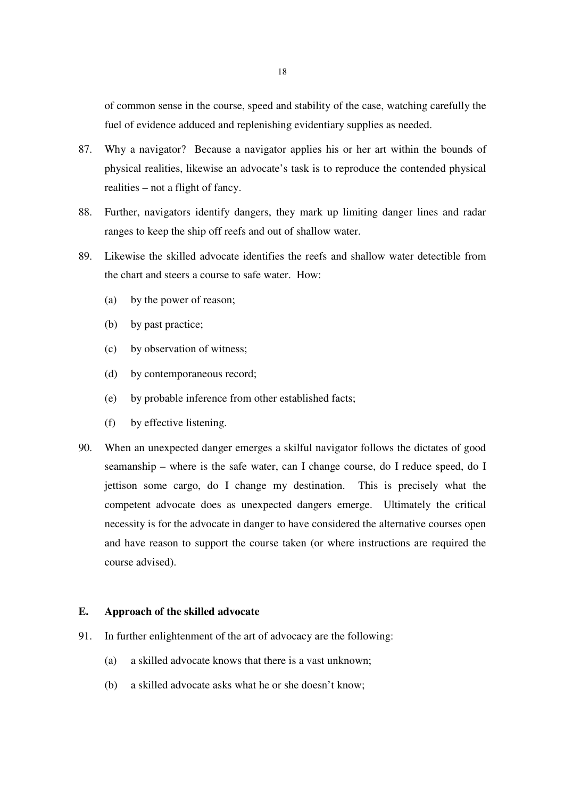of common sense in the course, speed and stability of the case, watching carefully the fuel of evidence adduced and replenishing evidentiary supplies as needed.

- 87. Why a navigator? Because a navigator applies his or her art within the bounds of physical realities, likewise an advocate's task is to reproduce the contended physical realities – not a flight of fancy.
- 88. Further, navigators identify dangers, they mark up limiting danger lines and radar ranges to keep the ship off reefs and out of shallow water.
- 89. Likewise the skilled advocate identifies the reefs and shallow water detectible from the chart and steers a course to safe water. How:
	- (a) by the power of reason;
	- (b) by past practice;
	- (c) by observation of witness;
	- (d) by contemporaneous record;
	- (e) by probable inference from other established facts;
	- (f) by effective listening.
- 90. When an unexpected danger emerges a skilful navigator follows the dictates of good seamanship – where is the safe water, can I change course, do I reduce speed, do I jettison some cargo, do I change my destination. This is precisely what the competent advocate does as unexpected dangers emerge. Ultimately the critical necessity is for the advocate in danger to have considered the alternative courses open and have reason to support the course taken (or where instructions are required the course advised).

## **E. Approach of the skilled advocate**

- 91. In further enlightenment of the art of advocacy are the following:
	- (a) a skilled advocate knows that there is a vast unknown;
	- (b) a skilled advocate asks what he or she doesn't know;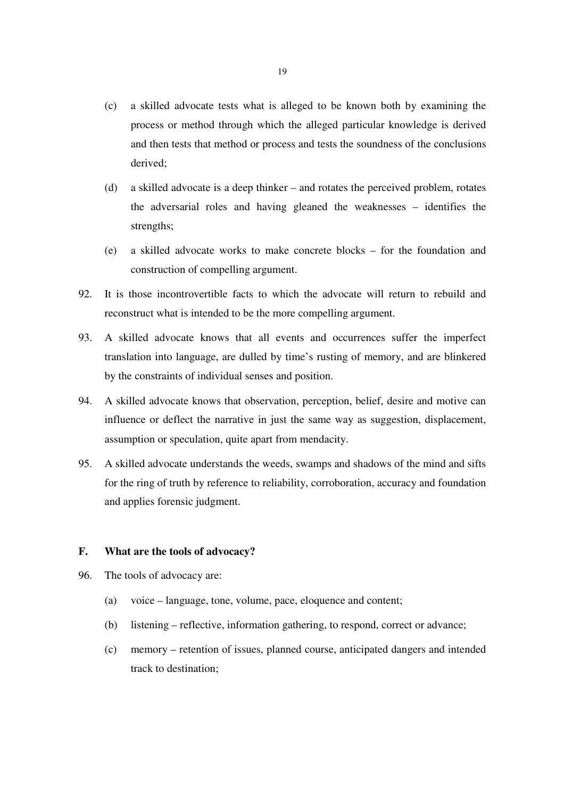- (c) a skilled advocate tests what is alleged to be known both by examining the process or method through which the alleged particular knowledge is derived and then tests that method or process and tests the soundness of the conclusions derived;
- (d) a skilled advocate is a deep thinker and rotates the perceived problem, rotates the adversarial roles and having gleaned the weaknesses – identifies the strengths;
- (e) a skilled advocate works to make concrete blocks for the foundation and construction of compelling argument.
- 92. It is those incontrovertible facts to which the advocate will return to rebuild and reconstruct what is intended to be the more compelling argument.
- 93. A skilled advocate knows that all events and occurrences suffer the imperfect translation into language, are dulled by time's rusting of memory, and are blinkered by the constraints of individual senses and position.
- 94. A skilled advocate knows that observation, perception, belief, desire and motive can influence or deflect the narrative in just the same way as suggestion, displacement, assumption or speculation, quite apart from mendacity.
- 95. A skilled advocate understands the weeds, swamps and shadows of the mind and sifts for the ring of truth by reference to reliability, corroboration, accuracy and foundation and applies forensic judgment.

## **F. What are the tools of advocacy?**

- 96. The tools of advocacy are:
	- (a) voice language, tone, volume, pace, eloquence and content;
	- (b) listening reflective, information gathering, to respond, correct or advance;
	- (c) memory retention of issues, planned course, anticipated dangers and intended track to destination;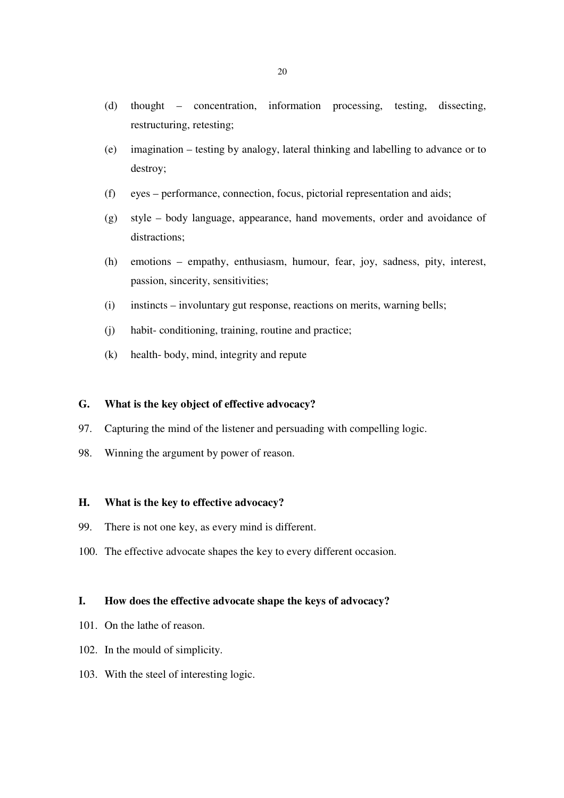- (d) thought concentration, information processing, testing, dissecting, restructuring, retesting;
- (e) imagination testing by analogy, lateral thinking and labelling to advance or to destroy;
- (f) eyes performance, connection, focus, pictorial representation and aids;
- (g) style body language, appearance, hand movements, order and avoidance of distractions:
- (h) emotions empathy, enthusiasm, humour, fear, joy, sadness, pity, interest, passion, sincerity, sensitivities;
- (i) instincts involuntary gut response, reactions on merits, warning bells;
- (j) habit- conditioning, training, routine and practice;
- (k) health- body, mind, integrity and repute

# **G. What is the key object of effective advocacy?**

- 97. Capturing the mind of the listener and persuading with compelling logic.
- 98. Winning the argument by power of reason.

### **H. What is the key to effective advocacy?**

- 99. There is not one key, as every mind is different.
- 100. The effective advocate shapes the key to every different occasion.

## **I. How does the effective advocate shape the keys of advocacy?**

- 101. On the lathe of reason.
- 102. In the mould of simplicity.
- 103. With the steel of interesting logic.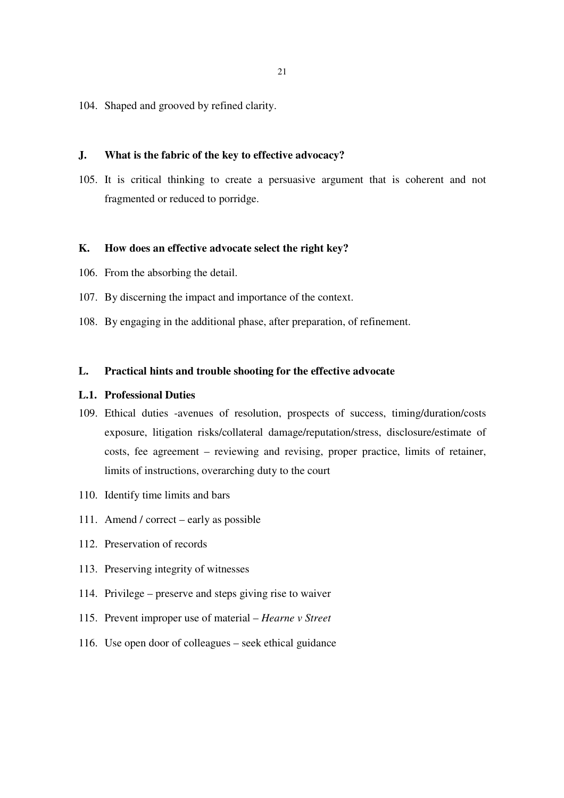104. Shaped and grooved by refined clarity.

#### **J. What is the fabric of the key to effective advocacy?**

105. It is critical thinking to create a persuasive argument that is coherent and not fragmented or reduced to porridge.

## **K. How does an effective advocate select the right key?**

- 106. From the absorbing the detail.
- 107. By discerning the impact and importance of the context.
- 108. By engaging in the additional phase, after preparation, of refinement.

# **L. Practical hints and trouble shooting for the effective advocate**

## **L.1. Professional Duties**

- 109. Ethical duties -avenues of resolution, prospects of success, timing/duration/costs exposure, litigation risks/collateral damage/reputation/stress, disclosure/estimate of costs, fee agreement – reviewing and revising, proper practice, limits of retainer, limits of instructions, overarching duty to the court
- 110. Identify time limits and bars
- 111. Amend / correct early as possible
- 112. Preservation of records
- 113. Preserving integrity of witnesses
- 114. Privilege preserve and steps giving rise to waiver
- 115. Prevent improper use of material *Hearne v Street*
- 116. Use open door of colleagues seek ethical guidance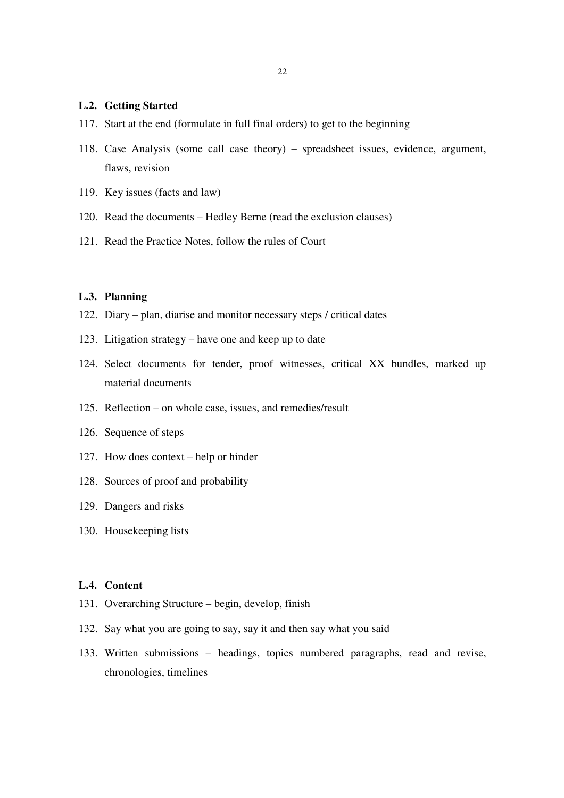#### **L.2. Getting Started**

- 117. Start at the end (formulate in full final orders) to get to the beginning
- 118. Case Analysis (some call case theory) spreadsheet issues, evidence, argument, flaws, revision
- 119. Key issues (facts and law)
- 120. Read the documents Hedley Berne (read the exclusion clauses)
- 121. Read the Practice Notes, follow the rules of Court

# **L.3. Planning**

- 122. Diary plan, diarise and monitor necessary steps / critical dates
- 123. Litigation strategy have one and keep up to date
- 124. Select documents for tender, proof witnesses, critical XX bundles, marked up material documents
- 125. Reflection on whole case, issues, and remedies/result
- 126. Sequence of steps
- 127. How does context help or hinder
- 128. Sources of proof and probability
- 129. Dangers and risks
- 130. Housekeeping lists

## **L.4. Content**

- 131. Overarching Structure begin, develop, finish
- 132. Say what you are going to say, say it and then say what you said
- 133. Written submissions headings, topics numbered paragraphs, read and revise, chronologies, timelines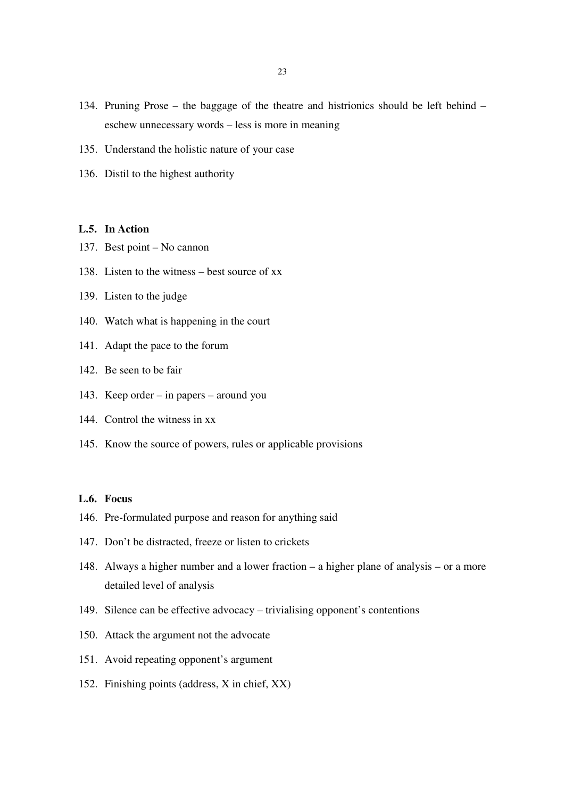- 134. Pruning Prose the baggage of the theatre and histrionics should be left behind eschew unnecessary words – less is more in meaning
- 135. Understand the holistic nature of your case
- 136. Distil to the highest authority

## **L.5. In Action**

- 137. Best point No cannon
- 138. Listen to the witness best source of xx
- 139. Listen to the judge
- 140. Watch what is happening in the court
- 141. Adapt the pace to the forum
- 142. Be seen to be fair
- 143. Keep order in papers around you
- 144. Control the witness in xx
- 145. Know the source of powers, rules or applicable provisions

## **L.6. Focus**

- 146. Pre-formulated purpose and reason for anything said
- 147. Don't be distracted, freeze or listen to crickets
- 148. Always a higher number and a lower fraction a higher plane of analysis or a more detailed level of analysis
- 149. Silence can be effective advocacy trivialising opponent's contentions
- 150. Attack the argument not the advocate
- 151. Avoid repeating opponent's argument
- 152. Finishing points (address, X in chief, XX)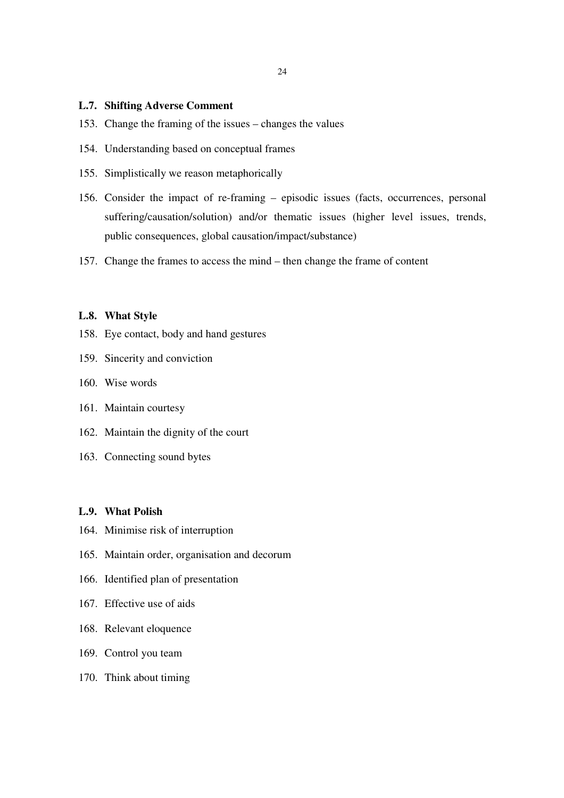#### **L.7. Shifting Adverse Comment**

- 153. Change the framing of the issues changes the values
- 154. Understanding based on conceptual frames
- 155. Simplistically we reason metaphorically
- 156. Consider the impact of re-framing episodic issues (facts, occurrences, personal suffering/causation/solution) and/or thematic issues (higher level issues, trends, public consequences, global causation/impact/substance)
- 157. Change the frames to access the mind then change the frame of content

#### **L.8. What Style**

- 158. Eye contact, body and hand gestures
- 159. Sincerity and conviction
- 160. Wise words
- 161. Maintain courtesy
- 162. Maintain the dignity of the court
- 163. Connecting sound bytes

#### **L.9. What Polish**

- 164. Minimise risk of interruption
- 165. Maintain order, organisation and decorum
- 166. Identified plan of presentation
- 167. Effective use of aids
- 168. Relevant eloquence
- 169. Control you team
- 170. Think about timing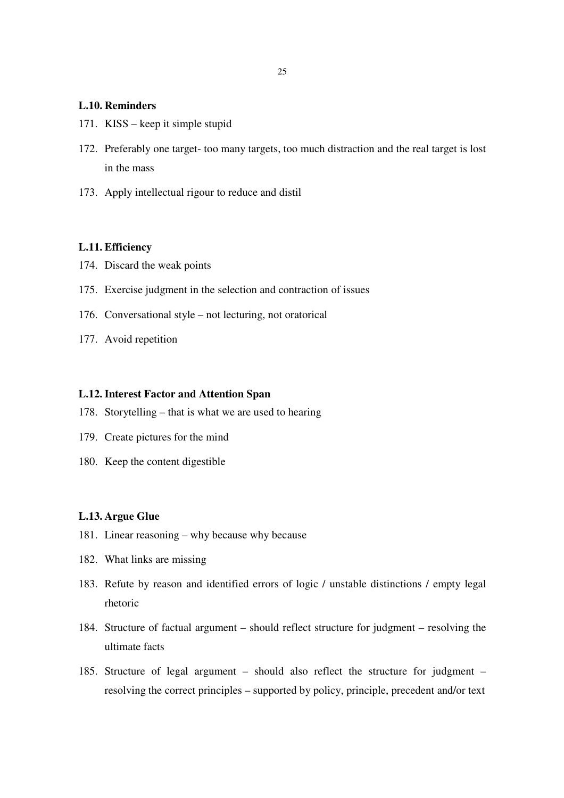### **L.10. Reminders**

- 171. KISS keep it simple stupid
- 172. Preferably one target- too many targets, too much distraction and the real target is lost in the mass
- 173. Apply intellectual rigour to reduce and distil

### **L.11. Efficiency**

- 174. Discard the weak points
- 175. Exercise judgment in the selection and contraction of issues
- 176. Conversational style not lecturing, not oratorical
- 177. Avoid repetition

### **L.12.Interest Factor and Attention Span**

- 178. Storytelling that is what we are used to hearing
- 179. Create pictures for the mind
- 180. Keep the content digestible

#### **L.13. Argue Glue**

- 181. Linear reasoning why because why because
- 182. What links are missing
- 183. Refute by reason and identified errors of logic / unstable distinctions / empty legal rhetoric
- 184. Structure of factual argument should reflect structure for judgment resolving the ultimate facts
- 185. Structure of legal argument should also reflect the structure for judgment resolving the correct principles – supported by policy, principle, precedent and/or text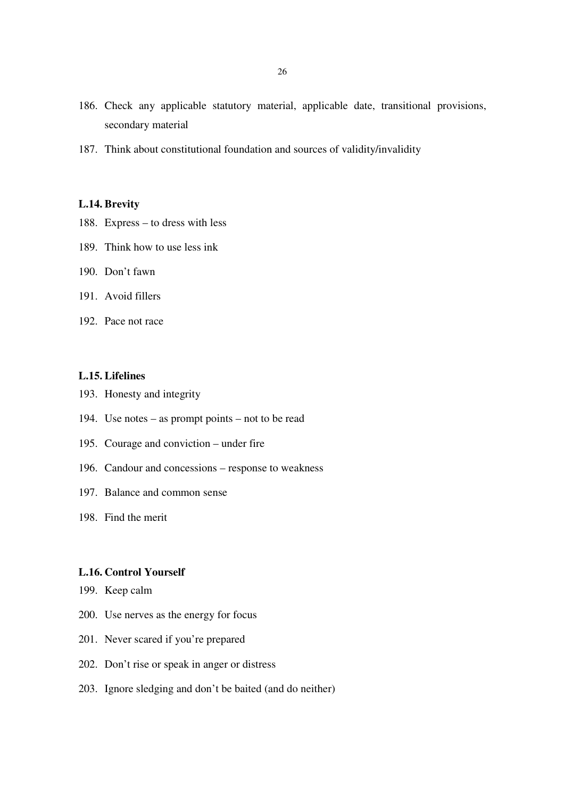- 186. Check any applicable statutory material, applicable date, transitional provisions, secondary material
- 187. Think about constitutional foundation and sources of validity/invalidity

## **L.14. Brevity**

- 188. Express to dress with less
- 189. Think how to use less ink
- 190. Don't fawn
- 191. Avoid fillers
- 192. Pace not race

#### **L.15. Lifelines**

- 193. Honesty and integrity
- 194. Use notes as prompt points not to be read
- 195. Courage and conviction under fire
- 196. Candour and concessions response to weakness
- 197. Balance and common sense
- 198. Find the merit

#### **L.16. Control Yourself**

- 199. Keep calm
- 200. Use nerves as the energy for focus
- 201. Never scared if you're prepared
- 202. Don't rise or speak in anger or distress
- 203. Ignore sledging and don't be baited (and do neither)